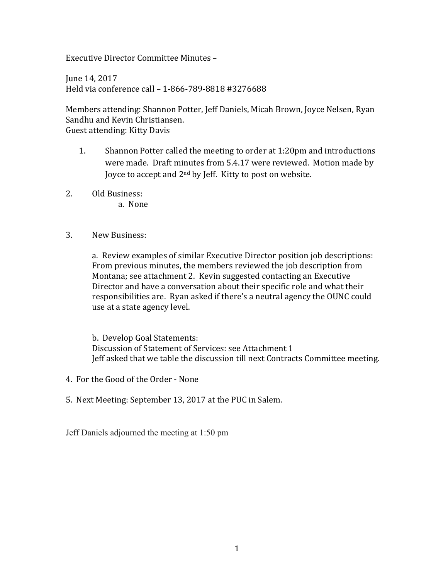Executive Director Committee Minutes –

June 14, 2017 Held via conference call - 1-866-789-8818 #3276688

Members attending: Shannon Potter, Jeff Daniels, Micah Brown, Joyce Nelsen, Ryan Sandhu and Kevin Christiansen. Guest attending: Kitty Davis

- 1. Shannon Potter called the meeting to order at 1:20pm and introductions were made. Draft minutes from 5.4.17 were reviewed. Motion made by Joyce to accept and  $2<sup>nd</sup>$  by Jeff. Kitty to post on website.
- 2. Old Business:
	- a. None
- 3. New Business:

a. Review examples of similar Executive Director position job descriptions: From previous minutes, the members reviewed the job description from Montana; see attachment 2. Kevin suggested contacting an Executive Director and have a conversation about their specific role and what their responsibilities are. Ryan asked if there's a neutral agency the OUNC could use at a state agency level.

b. Develop Goal Statements: Discussion of Statement of Services: see Attachment 1 Jeff asked that we table the discussion till next Contracts Committee meeting.

- 4. For the Good of the Order None
- 5. Next Meeting: September 13, 2017 at the PUC in Salem.

Jeff Daniels adjourned the meeting at 1:50 pm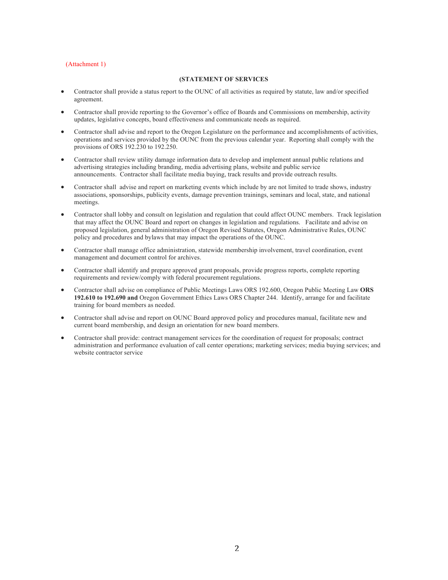#### (Attachment 1)

#### **(STATEMENT OF SERVICES**

- Contractor shall provide a status report to the OUNC of all activities as required by statute, law and/or specified agreement.
- Contractor shall provide reporting to the Governor's office of Boards and Commissions on membership, activity updates, legislative concepts, board effectiveness and communicate needs as required.
- Contractor shall advise and report to the Oregon Legislature on the performance and accomplishments of activities, operations and services provided by the OUNC from the previous calendar year. Reporting shall comply with the provisions of ORS 192.230 to 192.250.
- Contractor shall review utility damage information data to develop and implement annual public relations and advertising strategies including branding, media advertising plans, website and public service announcements. Contractor shall facilitate media buying, track results and provide outreach results.
- Contractor shall advise and report on marketing events which include by are not limited to trade shows, industry associations, sponsorships, publicity events, damage prevention trainings, seminars and local, state, and national meetings.
- Contractor shall lobby and consult on legislation and regulation that could affect OUNC members. Track legislation that may affect the OUNC Board and report on changes in legislation and regulations. Facilitate and advise on proposed legislation, general administration of Oregon Revised Statutes, Oregon Administrative Rules, OUNC policy and procedures and bylaws that may impact the operations of the OUNC.
- Contractor shall manage office administration, statewide membership involvement, travel coordination, event management and document control for archives.
- Contractor shall identify and prepare approved grant proposals, provide progress reports, complete reporting requirements and review/comply with federal procurement regulations.
- Contractor shall advise on compliance of Public Meetings Laws ORS 192.600, Oregon Public Meeting Law **ORS 192.610 to 192.690 and** Oregon Government Ethics Laws ORS Chapter 244. Identify, arrange for and facilitate training for board members as needed.
- Contractor shall advise and report on OUNC Board approved policy and procedures manual, facilitate new and current board membership, and design an orientation for new board members.
- Contractor shall provide: contract management services for the coordination of request for proposals; contract administration and performance evaluation of call center operations; marketing services; media buying services; and website contractor service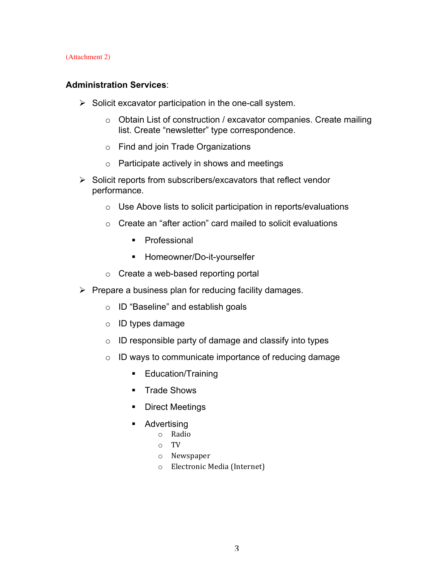(Attachment 2)

## **Administration Services**:

- $\triangleright$  Solicit excavator participation in the one-call system.
	- $\circ$  Obtain List of construction / excavator companies. Create mailing list. Create "newsletter" type correspondence.
	- o Find and join Trade Organizations
	- o Participate actively in shows and meetings
- $\triangleright$  Solicit reports from subscribers/excavators that reflect vendor performance.
	- o Use Above lists to solicit participation in reports/evaluations
	- o Create an "after action" card mailed to solicit evaluations
		- § Professional
		- Homeowner/Do-it-yourselfer
	- o Create a web-based reporting portal
- $\triangleright$  Prepare a business plan for reducing facility damages.
	- o ID "Baseline" and establish goals
	- o ID types damage
	- o ID responsible party of damage and classify into types
	- o ID ways to communicate importance of reducing damage
		- Education/Training
		- Trade Shows
		- Direct Meetings
		- Advertising
			- o Radio
			- o TV
			- o Newspaper
			- o Electronic Media (Internet)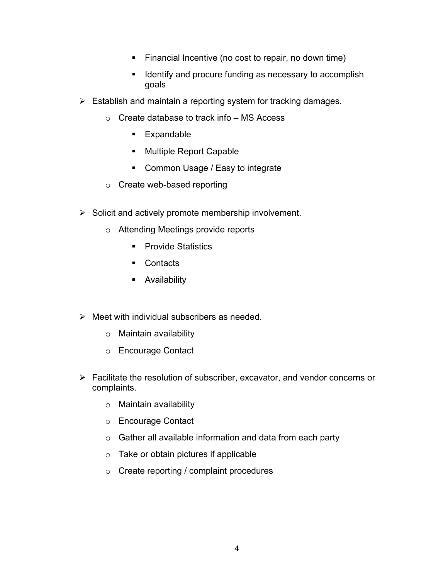- Financial Incentive (no cost to repair, no down time)
- Identify and procure funding as necessary to accomplish goals
- $\triangleright$  Establish and maintain a reporting system for tracking damages.
	- o Create database to track info MS Access
		- § Expandable
		- Multiple Report Capable
		- Common Usage / Easy to integrate
	- o Create web-based reporting
- $\triangleright$  Solicit and actively promote membership involvement.
	- o Attending Meetings provide reports
		- Provide Statistics
		- Contacts
		- **•** Availability
- $\triangleright$  Meet with individual subscribers as needed.
	- o Maintain availability
	- o Encourage Contact
- $\triangleright$  Facilitate the resolution of subscriber, excavator, and vendor concerns or complaints.
	- o Maintain availability
	- o Encourage Contact
	- $\circ$  Gather all available information and data from each party
	- o Take or obtain pictures if applicable
	- o Create reporting / complaint procedures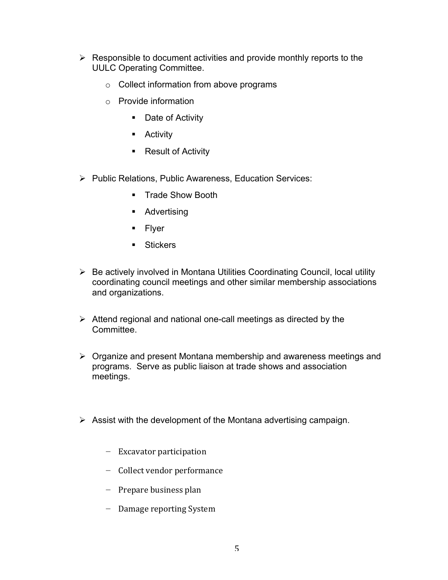- $\triangleright$  Responsible to document activities and provide monthly reports to the UULC Operating Committee.
	- o Collect information from above programs
	- o Provide information
		- Date of Activity
		- Activity
		- Result of Activity
- Ø Public Relations, Public Awareness, Education Services:
	- Trade Show Booth
	- Advertising
	- Flyer
	- Stickers
- $\triangleright$  Be actively involved in Montana Utilities Coordinating Council, local utility coordinating council meetings and other similar membership associations and organizations.
- $\triangleright$  Attend regional and national one-call meetings as directed by the Committee.
- $\triangleright$  Organize and present Montana membership and awareness meetings and programs. Serve as public liaison at trade shows and association meetings.
- $\triangleright$  Assist with the development of the Montana advertising campaign.
	- − Excavator participation
	- − Collect vendor performance
	- − Prepare business plan
	- − Damage reporting System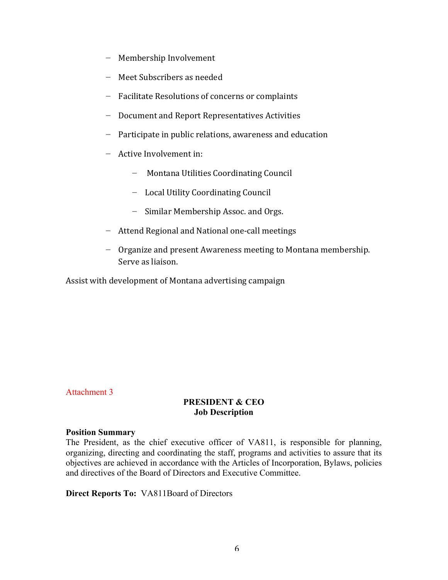- − Membership Involvement
- − Meet Subscribers as needed
- − Facilitate Resolutions of concerns or complaints
- − Document and Report Representatives Activities
- − Participate in public relations, awareness and education
- − Active Involvement in:
	- − Montana Utilities Coordinating Council
	- − Local Utility Coordinating Council
	- − Similar Membership Assoc. and Orgs.
- − Attend Regional and National one-call meetings
- − Organize and present Awareness meeting to Montana membership. Serve as liaison.

Assist with development of Montana advertising campaign

## Attachment 3

## **PRESIDENT & CEO Job Description**

#### **Position Summary**

The President, as the chief executive officer of VA811, is responsible for planning, organizing, directing and coordinating the staff, programs and activities to assure that its objectives are achieved in accordance with the Articles of Incorporation, Bylaws, policies and directives of the Board of Directors and Executive Committee.

## **Direct Reports To:** VA811Board of Directors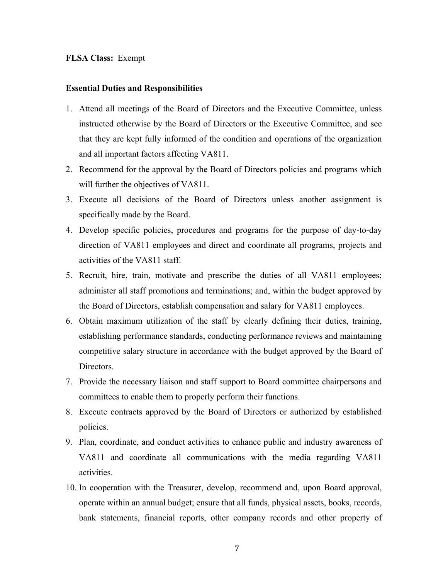#### **FLSA Class:** Exempt

#### **Essential Duties and Responsibilities**

- 1. Attend all meetings of the Board of Directors and the Executive Committee, unless instructed otherwise by the Board of Directors or the Executive Committee, and see that they are kept fully informed of the condition and operations of the organization and all important factors affecting VA811.
- 2. Recommend for the approval by the Board of Directors policies and programs which will further the objectives of VA811.
- 3. Execute all decisions of the Board of Directors unless another assignment is specifically made by the Board.
- 4. Develop specific policies, procedures and programs for the purpose of day-to-day direction of VA811 employees and direct and coordinate all programs, projects and activities of the VA811 staff.
- 5. Recruit, hire, train, motivate and prescribe the duties of all VA811 employees; administer all staff promotions and terminations; and, within the budget approved by the Board of Directors, establish compensation and salary for VA811 employees.
- 6. Obtain maximum utilization of the staff by clearly defining their duties, training, establishing performance standards, conducting performance reviews and maintaining competitive salary structure in accordance with the budget approved by the Board of Directors.
- 7. Provide the necessary liaison and staff support to Board committee chairpersons and committees to enable them to properly perform their functions.
- 8. Execute contracts approved by the Board of Directors or authorized by established policies.
- 9. Plan, coordinate, and conduct activities to enhance public and industry awareness of VA811 and coordinate all communications with the media regarding VA811 activities.
- 10. In cooperation with the Treasurer, develop, recommend and, upon Board approval, operate within an annual budget; ensure that all funds, physical assets, books, records, bank statements, financial reports, other company records and other property of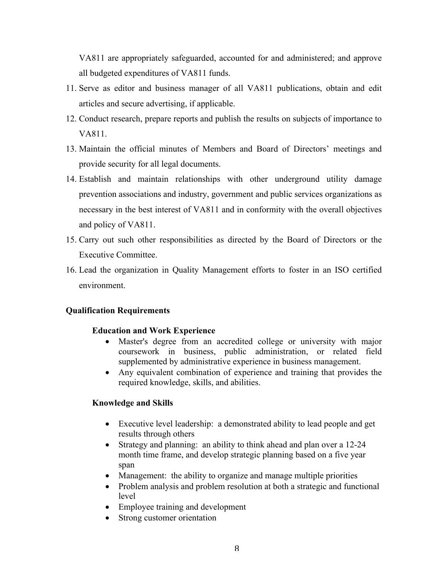VA811 are appropriately safeguarded, accounted for and administered; and approve all budgeted expenditures of VA811 funds.

- 11. Serve as editor and business manager of all VA811 publications, obtain and edit articles and secure advertising, if applicable.
- 12. Conduct research, prepare reports and publish the results on subjects of importance to VA811.
- 13. Maintain the official minutes of Members and Board of Directors' meetings and provide security for all legal documents.
- 14. Establish and maintain relationships with other underground utility damage prevention associations and industry, government and public services organizations as necessary in the best interest of VA811 and in conformity with the overall objectives and policy of VA811.
- 15. Carry out such other responsibilities as directed by the Board of Directors or the Executive Committee.
- 16. Lead the organization in Quality Management efforts to foster in an ISO certified environment.

## **Qualification Requirements**

## **Education and Work Experience**

- Master's degree from an accredited college or university with major coursework in business, public administration, or related field supplemented by administrative experience in business management.
- Any equivalent combination of experience and training that provides the required knowledge, skills, and abilities.

## **Knowledge and Skills**

- Executive level leadership: a demonstrated ability to lead people and get results through others
- Strategy and planning: an ability to think ahead and plan over a 12-24 month time frame, and develop strategic planning based on a five year span
- Management: the ability to organize and manage multiple priorities
- Problem analysis and problem resolution at both a strategic and functional level
- Employee training and development
- Strong customer orientation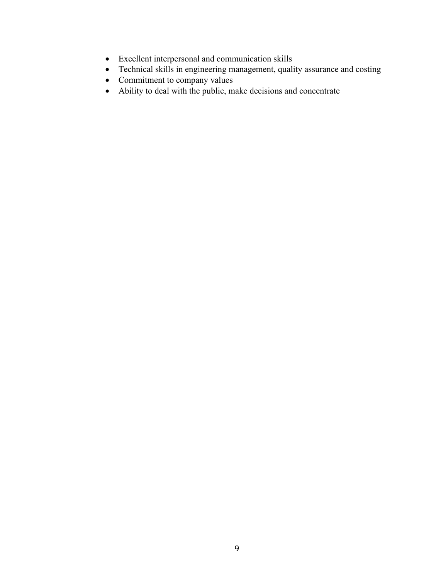- Excellent interpersonal and communication skills
- Technical skills in engineering management, quality assurance and costing
- Commitment to company values
- Ability to deal with the public, make decisions and concentrate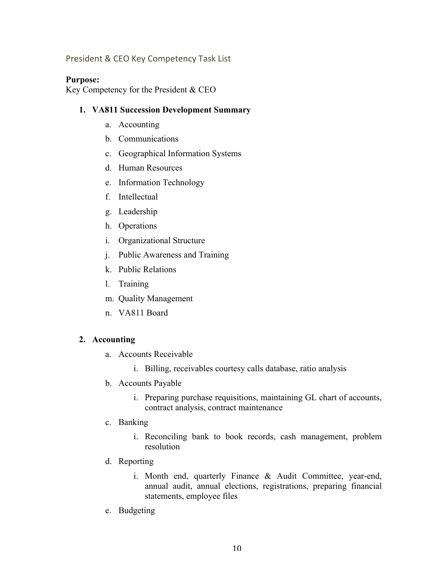# President & CEO Key Competency Task List

## **Purpose:**

Key Competency for the President & CEO

## **1. VA811 Succession Development Summary**

- a. Accounting
- b. Communications
- c. Geographical Information Systems
- d. Human Resources
- e. Information Technology
- f. Intellectual
- g. Leadership
- h. Operations
- i. Organizational Structure
- j. Public Awareness and Training
- k. Public Relations
- l. Training
- m. Quality Management
- n. VA811 Board

## **2. Accounting**

- a. Accounts Receivable
	- i. Billing, receivables courtesy calls database, ratio analysis
- b. Accounts Payable
	- i. Preparing purchase requisitions, maintaining GL chart of accounts, contract analysis, contract maintenance
- c. Banking
	- i. Reconciling bank to book records, cash management, problem resolution
- d. Reporting
	- i. Month end, quarterly Finance & Audit Committee, year-end, annual audit, annual elections, registrations, preparing financial statements, employee files
- e. Budgeting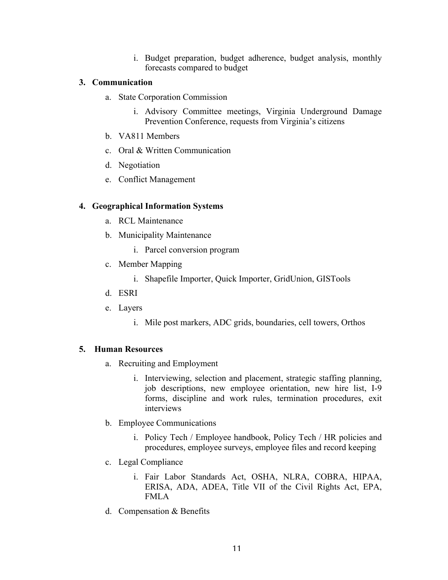i. Budget preparation, budget adherence, budget analysis, monthly forecasts compared to budget

# **3. Communication**

- a. State Corporation Commission
	- i. Advisory Committee meetings, Virginia Underground Damage Prevention Conference, requests from Virginia's citizens
- b. VA811 Members
- c. Oral & Written Communication
- d. Negotiation
- e. Conflict Management

# **4. Geographical Information Systems**

- a. RCL Maintenance
- b. Municipality Maintenance
	- i. Parcel conversion program
- c. Member Mapping
	- i. Shapefile Importer, Quick Importer, GridUnion, GISTools
- d. ESRI
- e. Layers
	- i. Mile post markers, ADC grids, boundaries, cell towers, Orthos

# **5. Human Resources**

- a. Recruiting and Employment
	- i. Interviewing, selection and placement, strategic staffing planning, job descriptions, new employee orientation, new hire list, I-9 forms, discipline and work rules, termination procedures, exit interviews
- b. Employee Communications
	- i. Policy Tech / Employee handbook, Policy Tech / HR policies and procedures, employee surveys, employee files and record keeping
- c. Legal Compliance
	- i. Fair Labor Standards Act, OSHA, NLRA, COBRA, HIPAA, ERISA, ADA, ADEA, Title VII of the Civil Rights Act, EPA, FMLA
- d. Compensation & Benefits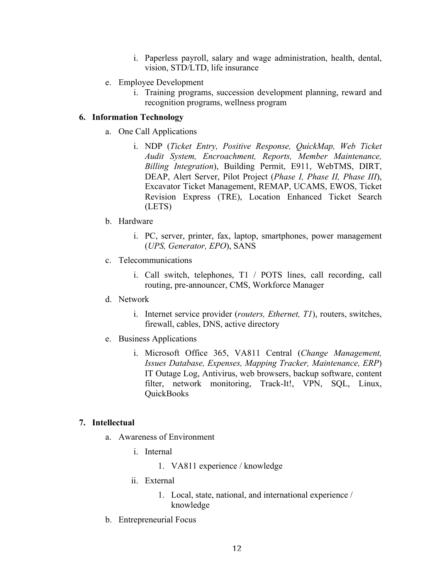- i. Paperless payroll, salary and wage administration, health, dental, vision, STD/LTD, life insurance
- e. Employee Development
	- i. Training programs, succession development planning, reward and recognition programs, wellness program

## **6. Information Technology**

- a. One Call Applications
	- i. NDP (*Ticket Entry, Positive Response, QuickMap, Web Ticket Audit System, Encroachment, Reports, Member Maintenance, Billing Integration*), Building Permit, E911, WebTMS, DIRT, DEAP, Alert Server, Pilot Project (*Phase I, Phase II, Phase III*), Excavator Ticket Management, REMAP, UCAMS, EWOS, Ticket Revision Express (TRE), Location Enhanced Ticket Search (LETS)
- b. Hardware
	- i. PC, server, printer, fax, laptop, smartphones, power management (*UPS, Generator, EPO*), SANS
- c. Telecommunications
	- i. Call switch, telephones, T1 / POTS lines, call recording, call routing, pre-announcer, CMS, Workforce Manager
- d. Network
	- i. Internet service provider (*routers, Ethernet, T1*), routers, switches, firewall, cables, DNS, active directory
- e. Business Applications
	- i. Microsoft Office 365, VA811 Central (*Change Management, Issues Database, Expenses, Mapping Tracker, Maintenance, ERP*) IT Outage Log, Antivirus, web browsers, backup software, content filter, network monitoring, Track-It!, VPN, SOL, Linux, QuickBooks

## **7. Intellectual**

- a. Awareness of Environment
	- i. Internal
		- 1. VA811 experience / knowledge
	- ii. External
		- 1. Local, state, national, and international experience / knowledge
- b. Entrepreneurial Focus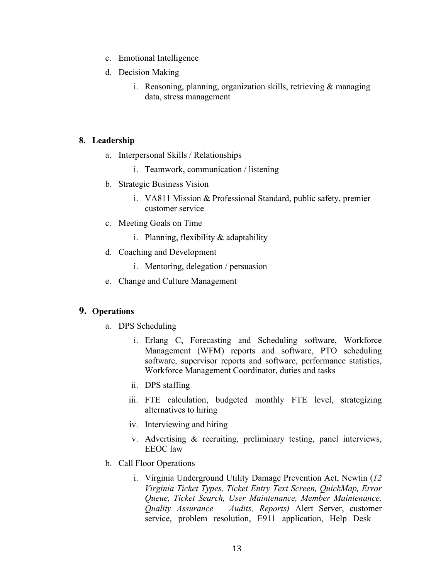- c. Emotional Intelligence
- d. Decision Making
	- i. Reasoning, planning, organization skills, retrieving  $\&$  managing data, stress management

## **8. Leadership**

- a. Interpersonal Skills / Relationships
	- i. Teamwork, communication / listening
- b. Strategic Business Vision
	- i. VA811 Mission & Professional Standard, public safety, premier customer service
- c. Meeting Goals on Time
	- i. Planning, flexibility  $&$  adaptability
- d. Coaching and Development
	- i. Mentoring, delegation / persuasion
- e. Change and Culture Management

# **9. Operations**

- a. DPS Scheduling
	- i. Erlang C, Forecasting and Scheduling software, Workforce Management (WFM) reports and software, PTO scheduling software, supervisor reports and software, performance statistics, Workforce Management Coordinator, duties and tasks
	- ii. DPS staffing
	- iii. FTE calculation, budgeted monthly FTE level, strategizing alternatives to hiring
	- iv. Interviewing and hiring
	- v. Advertising & recruiting, preliminary testing, panel interviews, EEOC law
- b. Call Floor Operations
	- i. Virginia Underground Utility Damage Prevention Act, Newtin (*12 Virginia Ticket Types, Ticket Entry Text Screen, QuickMap, Error Queue, Ticket Search, User Maintenance, Member Maintenance, Quality Assurance – Audits, Reports)* Alert Server, customer service, problem resolution, E911 application, Help Desk –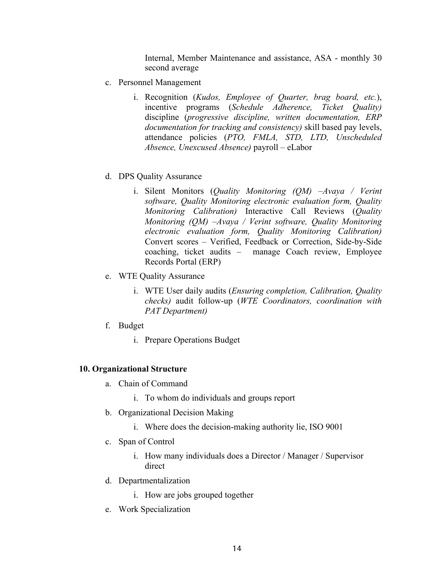Internal, Member Maintenance and assistance, ASA - monthly 30 second average

- c. Personnel Management
	- i. Recognition (*Kudos, Employee of Quarter, brag board, etc.*), incentive programs (*Schedule Adherence, Ticket Quality)*  discipline (*progressive discipline, written documentation, ERP documentation for tracking and consistency)* skill based pay levels, attendance policies (*PTO, FMLA, STD, LTD, Unscheduled Absence, Unexcused Absence)* payroll – eLabor
- d. DPS Quality Assurance
	- i. Silent Monitors (*Quality Monitoring (QM) –Avaya / Verint software, Quality Monitoring electronic evaluation form, Quality Monitoring Calibration)* Interactive Call Reviews (*Quality Monitoring (QM) –Avaya / Verint software, Quality Monitoring electronic evaluation form, Quality Monitoring Calibration)*  Convert scores – Verified, Feedback or Correction, Side-by-Side coaching, ticket audits – manage Coach review, Employee Records Portal (ERP)
- e. WTE Quality Assurance
	- i. WTE User daily audits (*Ensuring completion, Calibration, Quality checks)* audit follow-up (*WTE Coordinators, coordination with PAT Department)*
- f. Budget
	- i. Prepare Operations Budget

#### **10. Organizational Structure**

- a. Chain of Command
	- i. To whom do individuals and groups report
- b. Organizational Decision Making
	- i. Where does the decision-making authority lie, ISO 9001
- c. Span of Control
	- i. How many individuals does a Director / Manager / Supervisor direct
- d. Departmentalization
	- i. How are jobs grouped together
- e. Work Specialization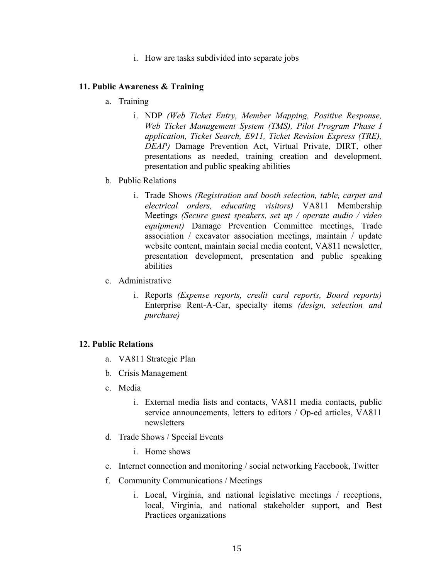i. How are tasks subdivided into separate jobs

## **11. Public Awareness & Training**

- a. Training
	- i. NDP *(Web Ticket Entry, Member Mapping, Positive Response, Web Ticket Management System (TMS), Pilot Program Phase I application, Ticket Search, E911, Ticket Revision Express (TRE), DEAP)* Damage Prevention Act, Virtual Private, DIRT, other presentations as needed, training creation and development, presentation and public speaking abilities
- b. Public Relations
	- i. Trade Shows *(Registration and booth selection, table, carpet and electrical orders, educating visitors)* VA811 Membership Meetings *(Secure guest speakers, set up / operate audio / video equipment)* Damage Prevention Committee meetings, Trade association / excavator association meetings, maintain / update website content, maintain social media content, VA811 newsletter, presentation development, presentation and public speaking abilities
- c. Administrative
	- i. Reports *(Expense reports, credit card reports, Board reports)*  Enterprise Rent-A-Car, specialty items *(design, selection and purchase)*

#### **12. Public Relations**

- a. VA811 Strategic Plan
- b. Crisis Management
- c. Media
	- i. External media lists and contacts, VA811 media contacts, public service announcements, letters to editors / Op-ed articles, VA811 newsletters
- d. Trade Shows / Special Events
	- i. Home shows
- e. Internet connection and monitoring / social networking Facebook, Twitter
- f. Community Communications / Meetings
	- i. Local, Virginia, and national legislative meetings / receptions, local, Virginia, and national stakeholder support, and Best Practices organizations